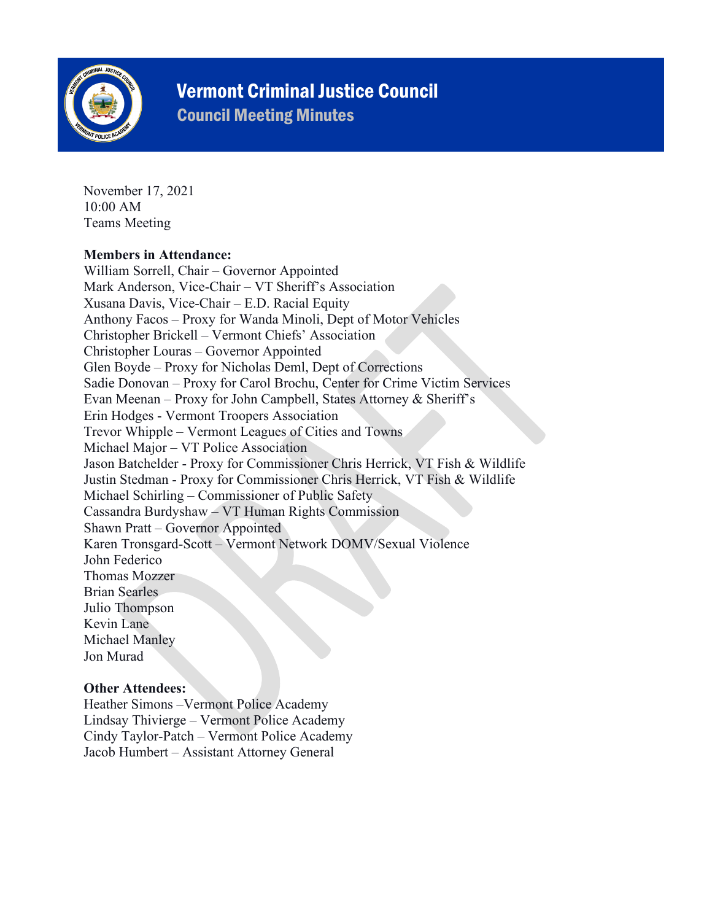

# Vermont Criminal Justice Council

Council Meeting Minutes

November 17, 2021 10:00 AM Teams Meeting

### **Members in Attendance:**

William Sorrell, Chair – Governor Appointed Mark Anderson, Vice-Chair – VT Sheriff's Association Xusana Davis, Vice-Chair – E.D. Racial Equity Anthony Facos – Proxy for Wanda Minoli, Dept of Motor Vehicles Christopher Brickell – Vermont Chiefs' Association Christopher Louras – Governor Appointed Glen Boyde – Proxy for Nicholas Deml, Dept of Corrections Sadie Donovan – Proxy for Carol Brochu, Center for Crime Victim Services Evan Meenan – Proxy for John Campbell, States Attorney & Sheriff's Erin Hodges - Vermont Troopers Association Trevor Whipple – Vermont Leagues of Cities and Towns Michael Major – VT Police Association Jason Batchelder - Proxy for Commissioner Chris Herrick, VT Fish & Wildlife Justin Stedman - Proxy for Commissioner Chris Herrick, VT Fish & Wildlife Michael Schirling – Commissioner of Public Safety Cassandra Burdyshaw – VT Human Rights Commission Shawn Pratt – Governor Appointed Karen Tronsgard-Scott – Vermont Network DOMV/Sexual Violence John Federico Thomas Mozzer Brian Searles Julio Thompson Kevin Lane Michael Manley Jon Murad

### **Other Attendees:**

Heather Simons –Vermont Police Academy Lindsay Thivierge – Vermont Police Academy Cindy Taylor-Patch – Vermont Police Academy Jacob Humbert – Assistant Attorney General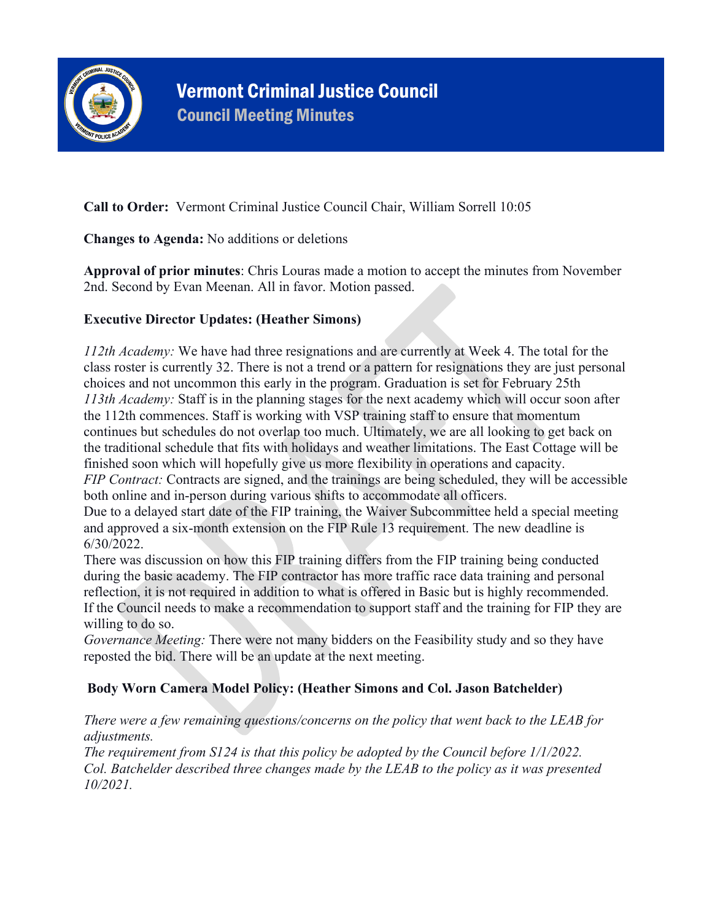

### **Call to Order:** Vermont Criminal Justice Council Chair, William Sorrell 10:05

**Changes to Agenda:** No additions or deletions

**Approval of prior minutes**: Chris Louras made a motion to accept the minutes from November 2nd. Second by Evan Meenan. All in favor. Motion passed.

### **Executive Director Updates: (Heather Simons)**

*112th Academy:* We have had three resignations and are currently at Week 4. The total for the class roster is currently 32. There is not a trend or a pattern for resignations they are just personal choices and not uncommon this early in the program. Graduation is set for February 25th *113th Academy:* Staff is in the planning stages for the next academy which will occur soon after the 112th commences. Staff is working with VSP training staff to ensure that momentum continues but schedules do not overlap too much. Ultimately, we are all looking to get back on the traditional schedule that fits with holidays and weather limitations. The East Cottage will be finished soon which will hopefully give us more flexibility in operations and capacity. *FIP Contract:* Contracts are signed, and the trainings are being scheduled, they will be accessible both online and in-person during various shifts to accommodate all officers. Due to a delayed start date of the FIP training, the Waiver Subcommittee held a special meeting and approved a six-month extension on the FIP Rule 13 requirement. The new deadline is 6/30/2022.

There was discussion on how this FIP training differs from the FIP training being conducted during the basic academy. The FIP contractor has more traffic race data training and personal reflection, it is not required in addition to what is offered in Basic but is highly recommended. If the Council needs to make a recommendation to support staff and the training for FIP they are willing to do so.

*Governance Meeting:* There were not many bidders on the Feasibility study and so they have reposted the bid. There will be an update at the next meeting.

### **Body Worn Camera Model Policy: (Heather Simons and Col. Jason Batchelder)**

*There were a few remaining questions/concerns on the policy that went back to the LEAB for adjustments.*

*The requirement from S124 is that this policy be adopted by the Council before 1/1/2022. Col. Batchelder described three changes made by the LEAB to the policy as it was presented 10/2021.*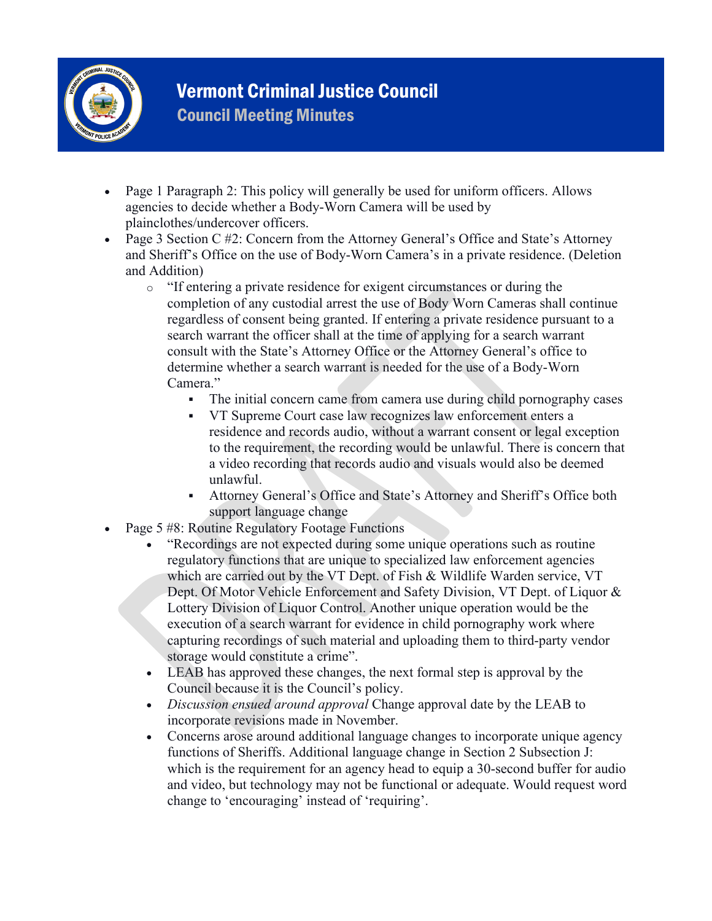

# Vermont Criminal Justice Council

Council Meeting Minutes

- Page 1 Paragraph 2: This policy will generally be used for uniform officers. Allows agencies to decide whether a Body-Worn Camera will be used by plainclothes/undercover officers.
- Page 3 Section C #2: Concern from the Attorney General's Office and State's Attorney and Sheriff's Office on the use of Body-Worn Camera's in a private residence. (Deletion and Addition)
	- o "If entering a private residence for exigent circumstances or during the completion of any custodial arrest the use of Body Worn Cameras shall continue regardless of consent being granted. If entering a private residence pursuant to a search warrant the officer shall at the time of applying for a search warrant consult with the State's Attorney Office or the Attorney General's office to determine whether a search warrant is needed for the use of a Body-Worn Camera."
		- The initial concern came from camera use during child pornography cases
		- VT Supreme Court case law recognizes law enforcement enters a residence and records audio, without a warrant consent or legal exception to the requirement, the recording would be unlawful. There is concern that a video recording that records audio and visuals would also be deemed unlawful.
		- Attorney General's Office and State's Attorney and Sheriff's Office both support language change
- Page 5 #8: Routine Regulatory Footage Functions
	- "Recordings are not expected during some unique operations such as routine regulatory functions that are unique to specialized law enforcement agencies which are carried out by the VT Dept. of Fish & Wildlife Warden service, VT Dept. Of Motor Vehicle Enforcement and Safety Division, VT Dept. of Liquor & Lottery Division of Liquor Control. Another unique operation would be the execution of a search warrant for evidence in child pornography work where capturing recordings of such material and uploading them to third-party vendor storage would constitute a crime".
	- LEAB has approved these changes, the next formal step is approval by the Council because it is the Council's policy.
	- *Discussion ensued around approval* Change approval date by the LEAB to incorporate revisions made in November.
	- Concerns arose around additional language changes to incorporate unique agency functions of Sheriffs. Additional language change in Section 2 Subsection J: which is the requirement for an agency head to equip a 30-second buffer for audio and video, but technology may not be functional or adequate. Would request word change to 'encouraging' instead of 'requiring'.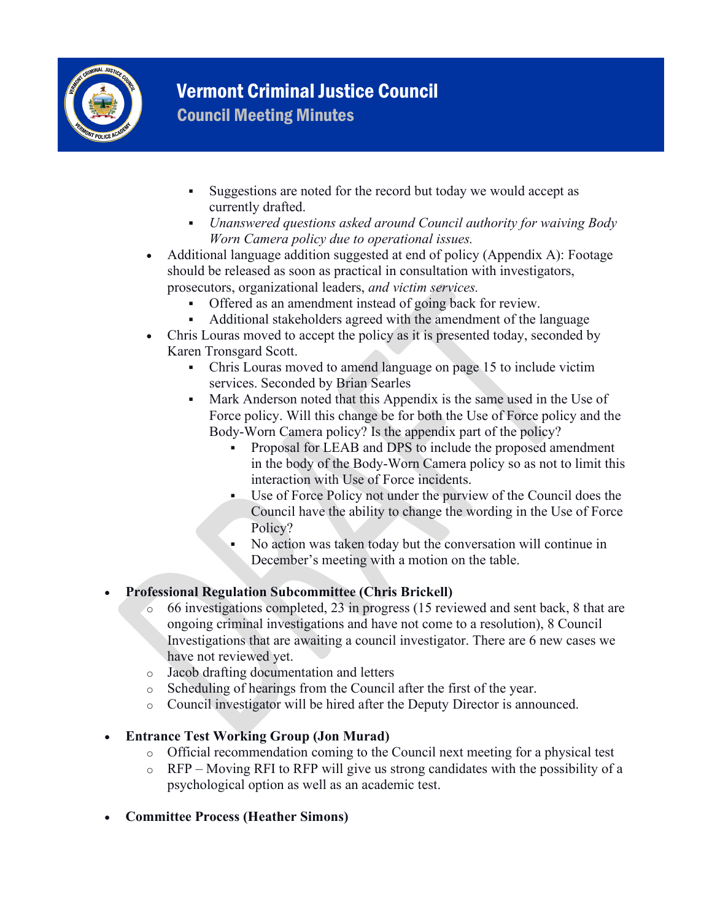

## Vermont Criminal Justice Council Council Meeting Minutes

- Suggestions are noted for the record but today we would accept as currently drafted.
- *Unanswered questions asked around Council authority for waiving Body Worn Camera policy due to operational issues.*
- Additional language addition suggested at end of policy (Appendix A): Footage should be released as soon as practical in consultation with investigators, prosecutors, organizational leaders, *and victim services.*
	- Offered as an amendment instead of going back for review.
	- Additional stakeholders agreed with the amendment of the language
- Chris Louras moved to accept the policy as it is presented today, seconded by Karen Tronsgard Scott.
	- Chris Louras moved to amend language on page 15 to include victim services. Seconded by Brian Searles
	- Mark Anderson noted that this Appendix is the same used in the Use of Force policy. Will this change be for both the Use of Force policy and the Body-Worn Camera policy? Is the appendix part of the policy?
		- Proposal for LEAB and DPS to include the proposed amendment in the body of the Body-Worn Camera policy so as not to limit this interaction with Use of Force incidents.
		- Use of Force Policy not under the purview of the Council does the Council have the ability to change the wording in the Use of Force Policy?
		- No action was taken today but the conversation will continue in December's meeting with a motion on the table.

### • **Professional Regulation Subcommittee (Chris Brickell)**

- o 66 investigations completed, 23 in progress (15 reviewed and sent back, 8 that are ongoing criminal investigations and have not come to a resolution), 8 Council Investigations that are awaiting a council investigator. There are 6 new cases we have not reviewed yet.
- o Jacob drafting documentation and letters
- o Scheduling of hearings from the Council after the first of the year.
- o Council investigator will be hired after the Deputy Director is announced.

### • **Entrance Test Working Group (Jon Murad)**

- o Official recommendation coming to the Council next meeting for a physical test
- o RFP Moving RFI to RFP will give us strong candidates with the possibility of a psychological option as well as an academic test.
- **Committee Process (Heather Simons)**